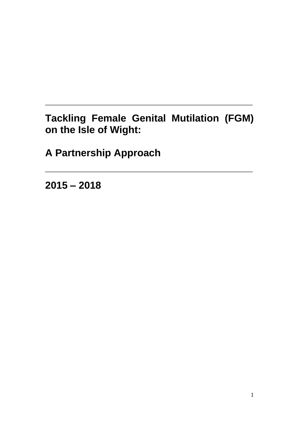**Tackling Female Genital Mutilation (FGM) on the Isle of Wight:**

\_\_\_\_\_\_\_\_\_\_\_\_\_\_\_\_\_\_\_\_\_\_\_\_\_\_\_\_\_\_\_\_\_\_\_\_\_\_\_\_\_\_\_\_\_\_\_\_\_\_\_\_\_\_\_\_\_\_\_\_\_\_

\_\_\_\_\_\_\_\_\_\_\_\_\_\_\_\_\_\_\_\_\_\_\_\_\_\_\_\_\_\_\_\_\_\_\_\_\_\_\_\_\_\_\_\_\_\_\_\_\_\_\_\_\_\_\_\_\_\_\_\_\_\_

**A Partnership Approach**

**2015 – 2018**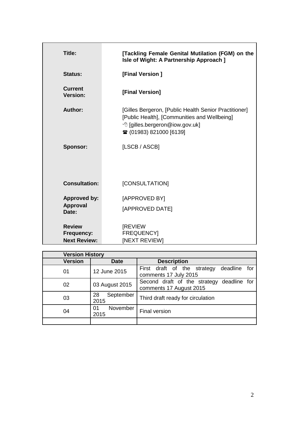| Title:                                             | [Tackling Female Genital Mutilation (FGM) on the<br>Isle of Wight: A Partnership Approach ]                                                                        |
|----------------------------------------------------|--------------------------------------------------------------------------------------------------------------------------------------------------------------------|
| <b>Status:</b>                                     | [Final Version]                                                                                                                                                    |
| Current<br><b>Version:</b>                         | [Final Version]                                                                                                                                                    |
| Author:                                            | [Gilles Bergeron, [Public Health Senior Practitioner]<br>[Public Health], [Communities and Wellbeing]<br>→ [gilles.bergeron@iow.gov.uk]<br>☎ (01983) 821000 [6139] |
| <b>Sponsor:</b>                                    | [LSCB / ASCB]                                                                                                                                                      |
| <b>Consultation:</b>                               | [CONSULTATION]                                                                                                                                                     |
| <b>Approved by:</b><br><b>Approval</b><br>Date:    | [APPROVED BY]<br>[APPROVED DATE]                                                                                                                                   |
| <b>Review</b><br>Frequency:<br><b>Next Review:</b> | [REVIEW<br><b>FREQUENCY</b><br><b>INEXT REVIEWI</b>                                                                                                                |

| <b>Version History</b> |                         |                                                                         |
|------------------------|-------------------------|-------------------------------------------------------------------------|
| <b>Version</b>         | <b>Date</b>             | <b>Description</b>                                                      |
| 01                     | 12 June 2015            | First draft of the strategy<br>deadline<br>for<br>comments 17 July 2015 |
| 02                     | 03 August 2015          | Second draft of the strategy deadline for<br>comments 17 August 2015    |
| 03                     | September<br>28<br>2015 | Third draft ready for circulation                                       |
| 04                     | November<br>01<br>2015  | Final version                                                           |
|                        |                         |                                                                         |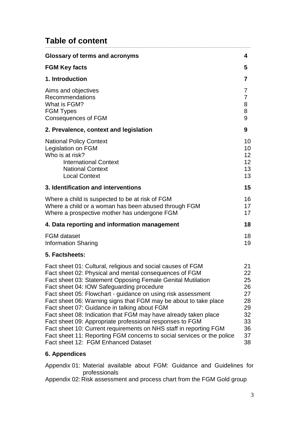# **Table of content**

| <b>Glossary of terms and acronyms</b>                                                                                                                                                                                                                                                                                                                                                                                                                                                                                                                                                                                                                                                               | 4                                                              |
|-----------------------------------------------------------------------------------------------------------------------------------------------------------------------------------------------------------------------------------------------------------------------------------------------------------------------------------------------------------------------------------------------------------------------------------------------------------------------------------------------------------------------------------------------------------------------------------------------------------------------------------------------------------------------------------------------------|----------------------------------------------------------------|
| <b>FGM Key facts</b>                                                                                                                                                                                                                                                                                                                                                                                                                                                                                                                                                                                                                                                                                | 5                                                              |
| 1. Introduction                                                                                                                                                                                                                                                                                                                                                                                                                                                                                                                                                                                                                                                                                     | 7                                                              |
| Aims and objectives<br><b>Recommendations</b><br>What is FGM?<br><b>FGM Types</b><br><b>Consequences of FGM</b>                                                                                                                                                                                                                                                                                                                                                                                                                                                                                                                                                                                     | 7<br>7<br>8<br>8<br>9                                          |
| 2. Prevalence, context and legislation                                                                                                                                                                                                                                                                                                                                                                                                                                                                                                                                                                                                                                                              | 9                                                              |
| <b>National Policy Context</b><br>Legislation on FGM<br>Who is at risk?<br><b>International Context</b><br><b>National Context</b><br><b>Local Context</b>                                                                                                                                                                                                                                                                                                                                                                                                                                                                                                                                          | 10<br>10<br>12<br>12<br>13<br>13                               |
| 3. Identification and interventions                                                                                                                                                                                                                                                                                                                                                                                                                                                                                                                                                                                                                                                                 | 15                                                             |
| Where a child is suspected to be at risk of FGM<br>Where a child or a woman has been abused through FGM<br>Where a prospective mother has undergone FGM                                                                                                                                                                                                                                                                                                                                                                                                                                                                                                                                             | 16<br>17<br>17                                                 |
| 4. Data reporting and information management                                                                                                                                                                                                                                                                                                                                                                                                                                                                                                                                                                                                                                                        | 18                                                             |
| <b>FGM</b> dataset<br><b>Information Sharing</b>                                                                                                                                                                                                                                                                                                                                                                                                                                                                                                                                                                                                                                                    | 18<br>19                                                       |
| 5. Factsheets:                                                                                                                                                                                                                                                                                                                                                                                                                                                                                                                                                                                                                                                                                      |                                                                |
| Fact sheet 01: Cultural, religious and social causes of FGM<br>Fact sheet 02: Physical and mental consequences of FGM<br>Fact sheet 03: Statement Opposing Female Genital Mutilation<br>Fact sheet 04: IOW Safeguarding procedure<br>Fact sheet 05: Flowchart - guidance on using risk assessment<br>Fact sheet 06: Warning signs that FGM may be about to take place<br>Fact sheet 07: Guidance in talking about FGM<br>Fact sheet 08: Indication that FGM may have already taken place<br>Fact sheet 09: Appropriate professional responses to FGM<br>Fact sheet 10: Current requirements on NHS staff in reporting FGM<br>Fact sheet 11: Reporting FGM concerns to social services or the police | 21<br>22<br>25<br>26<br>27<br>28<br>29<br>32<br>33<br>36<br>37 |

\_\_\_\_\_\_\_\_\_\_\_\_\_\_\_\_\_\_\_\_\_\_\_\_\_\_\_\_\_\_\_\_\_\_\_\_\_\_\_\_\_\_\_\_\_\_\_\_\_\_\_\_\_\_\_\_\_\_\_\_\_\_\_\_\_\_\_\_\_\_\_\_\_\_\_\_\_\_\_\_\_\_\_\_\_\_\_\_\_\_\_\_\_\_\_\_\_\_\_\_\_\_\_\_\_\_\_\_\_\_\_\_\_\_\_\_\_\_\_\_\_\_\_\_\_\_\_\_\_\_\_\_\_\_\_\_\_\_\_\_\_\_\_\_\_\_\_\_\_\_\_\_\_\_\_\_\_\_\_\_\_\_\_\_\_\_\_\_\_\_\_\_\_\_\_\_\_\_\_\_\_\_\_\_

Fact sheet 12: FGM Enhanced Dataset 38

# **6. Appendices**

Appendix 01: Material available about FGM: Guidance and Guidelines for professionals

Appendix 02: Risk assessment and process chart from the FGM Gold group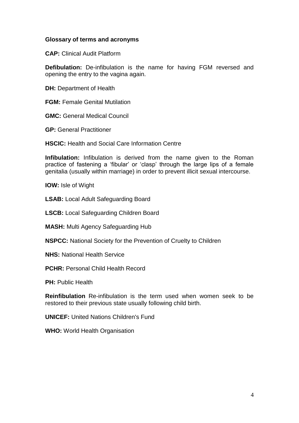#### **Glossary of terms and acronyms**

**CAP:** Clinical Audit Platform

**Defibulation:** De-infibulation is the name for having FGM reversed and opening the entry to the vagina again.

**DH:** Department of Health

**FGM:** Female Genital Mutilation

**GMC:** General Medical Council

**GP:** General Practitioner

**HSCIC:** Health and Social Care Information Centre

**Infibulation:** Infibulation is derived from the name given to the Roman practice of fastening a 'fibular' or 'clasp' through the large lips of a female genitalia (usually within marriage) in order to prevent illicit sexual intercourse.

**IOW:** Isle of Wight

**LSAB:** Local Adult Safeguarding Board

**LSCB:** Local Safeguarding Children Board

**MASH:** Multi Agency Safeguarding Hub

**NSPCC:** National Society for the Prevention of Cruelty to Children

**NHS:** National Health Service

**PCHR:** Personal Child Health Record

**PH:** Public Health

**Reinfibulation** Re-infibulation is the term used when women seek to be restored to their previous state usually following child birth.

**UNICEF:** United Nations Children's Fund

**WHO:** World Health Organisation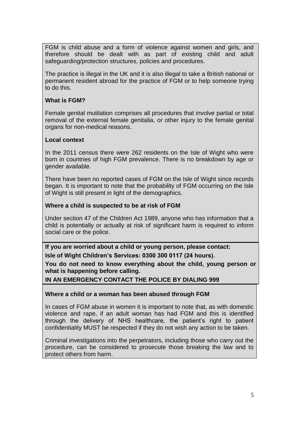FGM is child abuse and a form of violence against women and girls, and therefore should be dealt with as part of existing child and adult safeguarding/protection structures, policies and procedures.

The practice is illegal in the UK and it is also illegal to take a British national or permanent resident abroad for the practice of FGM or to help someone trying to do this.

## **What is FGM?**

Female genital mutilation comprises all procedures that involve partial or total removal of the external female genitalia, or other injury to the female genital organs for non-medical reasons.

## **Local context**

In the 2011 census there were 262 residents on the Isle of Wight who were born in countries of high FGM prevalence. There is no breakdown by age or gender available.

There have been no reported cases of FGM on the Isle of Wight since records began. It is important to note that the probability of FGM occurring on the Isle of Wight is still present in light of the demographics.

## **Where a child is suspected to be at risk of FGM**

Under section 47 of the Children Act 1989, anyone who has information that a child is potentially or actually at risk of significant harm is required to inform social care or the police.

**If you are worried about a child or young person, please contact:**

**Isle of Wight Children's Services: 0300 300 0117 (24 hours).**

**You do not need to know everything about the child, young person or what is happening before calling.**

**IN AN EMERGENCY CONTACT THE POLICE BY DIALING 999**

## **Where a child or a woman has been abused through FGM**

In cases of FGM abuse in women it is important to note that, as with domestic violence and rape, if an adult woman has had FGM and this is identified through the delivery of NHS healthcare, the patient's right to patient confidentiality MUST be respected if they do not wish any action to be taken.

Criminal investigations into the perpetrators, including those who carry out the procedure, can be considered to prosecute those breaking the law and to protect others from harm.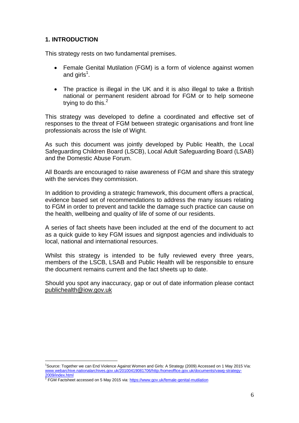# **1. INTRODUCTION**

This strategy rests on two fundamental premises.

- Female Genital Mutilation (FGM) is a form of violence against women and girls $^1$ .
- The practice is illegal in the UK and it is also illegal to take a British national or permanent resident abroad for FGM or to help someone trying to do this. $2$

This strategy was developed to define a coordinated and effective set of responses to the threat of FGM between strategic organisations and front line professionals across the Isle of Wight.

As such this document was jointly developed by Public Health, the Local Safeguarding Children Board (LSCB), Local Adult Safeguarding Board (LSAB) and the Domestic Abuse Forum.

All Boards are encouraged to raise awareness of FGM and share this strategy with the services they commission.

In addition to providing a strategic framework, this document offers a practical, evidence based set of recommendations to address the many issues relating to FGM in order to prevent and tackle the damage such practice can cause on the health, wellbeing and quality of life of some of our residents.

A series of fact sheets have been included at the end of the document to act as a quick guide to key FGM issues and signpost agencies and individuals to local, national and international resources.

Whilst this strategy is intended to be fully reviewed every three years, members of the LSCB, LSAB and Public Health will be responsible to ensure the document remains current and the fact sheets up to date.

Should you spot any inaccuracy, gap or out of date information please contact [publichealth@iow.gov.uk](mailto:publichealth@iow.gov.uk)

1

<sup>1</sup>Source: Together we can End Violence Against Women and Girls: A Strategy (2009) Accessed on 1 May 2015 Via: [www.webarchive.nationalarchives.gov.uk/20100419081706/http:/homeoffice.gov.uk/documents/vawg-strategy-](http://www.webarchive.nationalarchives.gov.uk/20100419081706/http:/homeoffice.gov.uk/documents/vawg-strategy-2009/index.html)

<sup>&</sup>lt;u>[2009/index.html](http://www.webarchive.nationalarchives.gov.uk/20100419081706/http:/homeoffice.gov.uk/documents/vawg-strategy-2009/index.html)</u><br><sup>2</sup> FGM Factsheet accessed on 5 May 2015 via: <u>https://www.gov.uk/female-genital-mutilation</u>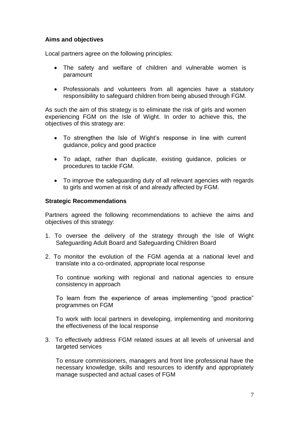## **Aims and objectives**

Local partners agree on the following principles:

- The safety and welfare of children and vulnerable women is paramount
- Professionals and volunteers from all agencies have a statutory responsibility to safeguard children from being abused through FGM.

As such the aim of this strategy is to eliminate the risk of girls and women experiencing FGM on the Isle of Wight. In order to achieve this, the objectives of this strategy are:

- To strengthen the Isle of Wight's response in line with current guidance, policy and good practice
- To adapt, rather than duplicate, existing guidance, policies or procedures to tackle FGM.
- To improve the safeguarding duty of all relevant agencies with regards to girls and women at risk of and already affected by FGM.

#### **Strategic Recommendations**

Partners agreed the following recommendations to achieve the aims and objectives of this strategy:

- 1. To oversee the delivery of the strategy through the Isle of Wight Safeguarding Adult Board and Safeguarding Children Board
- 2. To monitor the evolution of the FGM agenda at a national level and translate into a co-ordinated, appropriate local response

To continue working with regional and national agencies to ensure consistency in approach

To learn from the experience of areas implementing "good practice" programmes on FGM

To work with local partners in developing, implementing and monitoring the effectiveness of the local response

3. To effectively address FGM related issues at all levels of universal and targeted services

To ensure commissioners, managers and front line professional have the necessary knowledge, skills and resources to identify and appropriately manage suspected and actual cases of FGM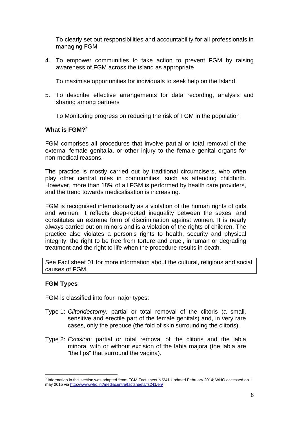To clearly set out responsibilities and accountability for all professionals in managing FGM

4. To empower communities to take action to prevent FGM by raising awareness of FGM across the island as appropriate

To maximise opportunities for individuals to seek help on the Island.

5. To describe effective arrangements for data recording, analysis and sharing among partners

To Monitoring progress on reducing the risk of FGM in the population

## **What is FGM?**<sup>3</sup>

FGM comprises all procedures that involve partial or total removal of the external female genitalia, or other injury to the female genital organs for non-medical reasons.

The practice is mostly carried out by traditional circumcisers, who often play other central roles in communities, such as attending childbirth. However, more than 18% of all FGM is performed by health care providers, and the trend towards medicalisation is increasing.

FGM is recognised internationally as a violation of the human rights of girls and women. It reflects deep-rooted inequality between the sexes, and constitutes an extreme form of discrimination against women. It is nearly always carried out on minors and is a violation of the rights of children. The practice also violates a person's rights to health, security and physical integrity, the right to be free from torture and cruel, inhuman or degrading treatment and the right to life when the procedure results in death.

See Fact sheet 01 for more information about the cultural, religious and social causes of FGM.

## **FGM Types**

FGM is classified into four major types:

- Type 1: *Clitoridectomy:* partial or total removal of the clitoris (a small, sensitive and erectile part of the female genitals) and, in very rare cases, only the prepuce (the fold of skin surrounding the clitoris).
- Type 2: *Excision*: partial or total removal of the clitoris and the labia minora, with or without excision of the labia majora (the labia are "the lips" that surround the vagina).

 3 Information in this section was adapted from: FGM Fact sheet N°241 Updated February 2014; WHO accessed on 1 may 2015 via<http://www.who.int/mediacentre/factsheets/fs241/en/>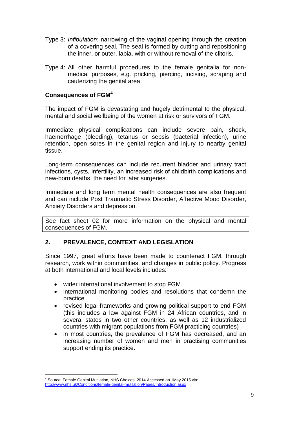- Type 3: *Infibulation*: narrowing of the vaginal opening through the creation of a covering seal. The seal is formed by cutting and repositioning the inner, or outer, labia, with or without removal of the clitoris.
- Type 4: All other harmful procedures to the female genitalia for nonmedical purposes, e.g. pricking, piercing, incising, scraping and cauterizing the genital area.

## **Consequences of FGM<sup>4</sup>**

The impact of FGM is devastating and hugely detrimental to the physical, mental and social wellbeing of the women at risk or survivors of FGM.

Immediate physical complications can include severe pain, shock, haemorrhage (bleeding), tetanus or sepsis (bacterial infection), urine retention, open sores in the genital region and injury to nearby genital tissue.

Long-term consequences can include recurrent bladder and urinary tract infections, cysts, infertility, an increased risk of childbirth complications and new-born deaths, the need for later surgeries.

Immediate and long term mental health consequences are also frequent and can include Post Traumatic Stress Disorder, Affective Mood Disorder, Anxiety Disorders and depression.

See fact sheet 02 for more information on the physical and mental consequences of FGM.

# **2. PREVALENCE, CONTEXT AND LEGISLATION**

Since 1997, great efforts have been made to counteract FGM, through research, work within communities, and changes in public policy. Progress at both international and local levels includes:

- wider international involvement to stop FGM
- international monitoring bodies and resolutions that condemn the practice
- revised legal frameworks and growing political support to end FGM (this includes a law against FGM in 24 African countries, and in several states in two other countries, as well as 12 industrialized countries with migrant populations from FGM practicing countries)
- in most countries, the prevalence of FGM has decreased, and an increasing number of women and men in practising communities support ending its practice.

<sup>1</sup> <sup>4</sup> Source: Female Genital Mutilation, NHS Choices, 2014 Accessed on 1May 2015 via: <http://www.nhs.uk/Conditions/female-genital-mutilation/Pages/Introduction.aspx>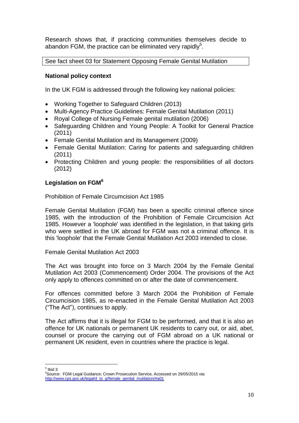Research shows that, if practicing communities themselves decide to abandon FGM, the practice can be eliminated very rapidly<sup>5</sup>.

See fact sheet 03 for Statement Opposing Female Genital Mutilation

## **National policy context**

In the UK FGM is addressed through the following key national policies:

- Working Together to Safeguard Children (2013)
- Multi-Agency Practice Guidelines: Female Genital Mutilation (2011)
- Royal College of Nursing Female genital mutilation (2006)
- Safeguarding Children and Young People: A Toolkit for General Practice (2011)
- Female Genital Mutilation and its Management (2009)
- Female Genital Mutilation: Caring for patients and safeguarding children (2011)
- Protecting Children and young people: the responsibilities of all doctors (2012)

## **Legislation on FGM<sup>6</sup>**

Prohibition of Female Circumcision Act 1985

Female Genital Mutilation (FGM) has been a specific criminal offence since 1985, with the introduction of the Prohibition of Female Circumcision Act 1985. However a 'loophole' was identified in the legislation, in that taking girls who were settled in the UK abroad for FGM was not a criminal offence. It is this 'loophole' that the Female Genital Mutilation Act 2003 intended to close.

Female Genital Mutilation Act 2003

The Act was brought into force on 3 March 2004 by the Female Genital Mutilation Act 2003 (Commencement) Order 2004. The provisions of the Act only apply to offences committed on or after the date of commencement.

For offences committed before 3 March 2004 the Prohibition of Female Circumcision 1985, as re-enacted in the Female Genital Mutilation Act 2003 ("The Act"), continues to apply.

The Act affirms that it is illegal for FGM to be performed, and that it is also an offence for UK nationals or permanent UK residents to carry out, or aid, abet, counsel or procure the carrying out of FGM abroad on a UK national or permanent UK resident, even in countries where the practice is legal.

<u>s</u><br>bid 3

<sup>&</sup>lt;sup>6</sup>Source: FGM Legal Guidance; Crown Prosecution Service, Accessed on 29/05/2015 via: [http://www.cps.gov.uk/legal/d\\_to\\_g/female\\_genital\\_mutilation/#a01](http://www.cps.gov.uk/legal/d_to_g/female_genital_mutilation/#a01)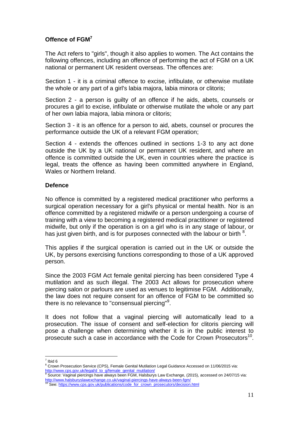# **Offence of FGM<sup>7</sup>**

The Act refers to "girls", though it also applies to women. The Act contains the following offences, including an offence of performing the act of FGM on a UK national or permanent UK resident overseas. The offences are:

Section 1 - it is a criminal offence to excise, infibulate, or otherwise mutilate the whole or any part of a girl's labia majora, labia minora or clitoris;

Section 2 - a person is guilty of an offence if he aids, abets, counsels or procures a girl to excise, infibulate or otherwise mutilate the whole or any part of her own labia majora, labia minora or clitoris;

Section 3 - it is an offence for a person to aid, abets, counsel or procures the performance outside the UK of a relevant FGM operation;

Section 4 - extends the offences outlined in sections 1-3 to any act done outside the UK by a UK national or permanent UK resident, and where an offence is committed outside the UK, even in countries where the practice is legal, treats the offence as having been committed anywhere in England, Wales or Northern Ireland.

## **Defence**

No offence is committed by a registered medical practitioner who performs a surgical operation necessary for a girl's physical or mental health. Nor is an offence committed by a registered midwife or a person undergoing a course of training with a view to becoming a registered medical practitioner or registered midwife, but only if the operation is on a girl who is in any stage of labour, or has just given birth, and is for purposes connected with the labour or birth 8.

This applies if the surgical operation is carried out in the UK or outside the UK, by persons exercising functions corresponding to those of a UK approved person.

Since the 2003 FGM Act female genital piercing has been considered Type 4 mutilation and as such illegal. The 2003 Act allows for prosecution where piercing salon or parlours are used as venues to legitimise FGM. Additionally, the law does not require consent for an offence of FGM to be committed so there is no relevance to "consensual piercing"<sup>9</sup>.

It does not follow that a vaginal piercing will automatically lead to a prosecution. The issue of consent and self-election for clitoris piercing will pose a challenge when determining whether it is in the public interest to prosecute such a case in accordance with the Code for Crown Prosecutors $^{10}$ .

<sup>&</sup>lt;u>.</u>  $<sup>7</sup>$  Ibid 6</sup>

<sup>8</sup> Crown Prosecution Service (CPS), Female Genital Mutilation Legal Guidance Accessed on 11/06/2015 via: [http://www.cps.gov.uk/legal/d\\_to\\_g/female\\_genital\\_mutilation/](http://www.cps.gov.uk/legal/d_to_g/female_genital_mutilation/)

Source: Vaginal piercings have always been FGM, Halsburys Law Exchange, (2015), accessed on 24/07/15 via: <http://www.halsburyslawexchange.co.uk/vaginal-piercings-have-always-been-fgm/>

See[: https://www.cps.gov.uk/publications/code\\_for\\_crown\\_prosecutors/decision.html](https://www.cps.gov.uk/publications/code_for_crown_prosecutors/decision.html)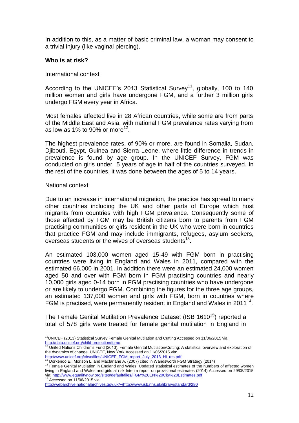In addition to this, as a matter of basic criminal law, a woman may consent to a trivial injury (like vaginal piercing).

#### **Who is at risk?**

#### International context

According to the UNICEF's 2013 Statistical Survey<sup>11</sup>, globally, 100 to 140 million women and girls have undergone FGM, and a further 3 million girls undergo FGM every year in Africa.

Most females affected live in 28 African countries, while some are from parts of the Middle East and Asia, with national FGM prevalence rates varying from as low as 1% to 90% or more<sup>12</sup>.

The highest prevalence rates, of 90% or more, are found in Somalia, Sudan, Djibouti, Egypt, Guinea and Sierra Leone, where little difference in trends in prevalence is found by age group. In the UNICEF Survey, FGM was conducted on girls under 5 years of age in half of the countries surveyed. In the rest of the countries, it was done between the ages of 5 to 14 years.

#### National context

Due to an increase in international migration, the practice has spread to many other countries including the UK and other parts of Europe which host migrants from countries with high FGM prevalence. Consequently some of those affected by FGM may be British citizens born to parents from FGM practising communities or girls resident in the UK who were born in countries that practice FGM and may include immigrants, refugees, asylum seekers, overseas students or the wives of overseas students<sup>13</sup>.

An estimated 103,000 women aged 15-49 with FGM born in practising countries were living in England and Wales in 2011, compared with the estimated 66,000 in 2001. In addition there were an estimated 24,000 women aged 50 and over with FGM born in FGM practising countries and nearly 10,000 girls aged 0-14 born in FGM practising countries who have undergone or are likely to undergo FGM. Combining the figures for the three age groups, an estimated 137,000 women and girls with FGM, born in countries where FGM is practised, were permanently resident in England and Wales in 2011<sup>14</sup>.

The Female Genital Mutilation Prevalence Dataset (ISB 1610<sup>15</sup>) reported a total of 578 girls were treated for female genital mutilation in England in

<sup>1</sup> <sup>11</sup>UNICEF (2013) Statistical Survey Female Genital Mutilation and Cutting Accessed on 11/06/2015 via: <http://data.unicef.org/child-protection/fgmc><br><sup>12</sup> United Matics 2018

<sup>12</sup> United Nations Children's Fund (2013). Female Genital Mutilation/Cutting: A statistical overview and exploration of the dynamics of change. UNICEF, New York Accessed on 11/06/2015 via:

<sup>&</sup>lt;u>[http://www.unicef.org/cbsc/files/UNICEF\\_FGM\\_report\\_July\\_2013\\_Hi\\_res.pdf](http://www.unicef.org/cbsc/files/UNICEF_FGM_report_July_2013_Hi_res.pdf)</u><br><sup>13</sup> Dorkenoo E., Morison L. and Macfarlane A. (2007) cited in Wandsworth FGM Strategy (2014)

<sup>14</sup> Female Genital Mutilation in England and Wales: Updated statistical estimates of the numbers of affected women living in England and Wales and girls at risk Interim report on provisional estimates (2014) Accessed on 29/05/2015 via: <u>http://www.equalitynow.org/sites/default/files/FGM%20EN%20City%20Estimates.pdf</u><br><sup>15</sup> Accessed on 11/06/2015 via:

[http://webarchive.nationalarchives.gov.uk/+/http://www.isb.nhs.uk/library/standard/280](http://webarchive.nationalarchives.gov.uk/+/http:/www.isb.nhs.uk/library/standard/280)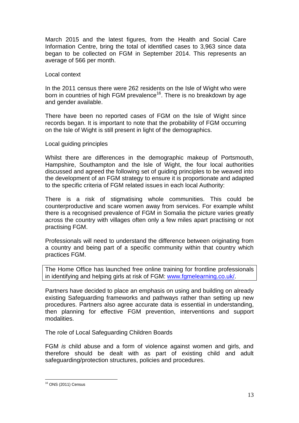March 2015 and the latest figures, from the Health and Social Care Information Centre, bring the total of identified cases to 3,963 since data began to be collected on FGM in September 2014. This represents an average of 566 per month.

#### Local context

In the 2011 census there were 262 residents on the Isle of Wight who were born in countries of high FGM prevalence<sup>16</sup>. There is no breakdown by age and gender available.

There have been no reported cases of FGM on the Isle of Wight since records began. It is important to note that the probability of FGM occurring on the Isle of Wight is still present in light of the demographics.

#### Local guiding principles

Whilst there are differences in the demographic makeup of Portsmouth, Hampshire, Southampton and the Isle of Wight, the four local authorities discussed and agreed the following set of guiding principles to be weaved into the development of an FGM strategy to ensure it is proportionate and adapted to the specific criteria of FGM related issues in each local Authority:

There is a risk of stigmatising whole communities. This could be counterproductive and scare women away from services. For example whilst there is a recognised prevalence of FGM in Somalia the picture varies greatly across the country with villages often only a few miles apart practising or not practising FGM.

Professionals will need to understand the difference between originating from a country and being part of a specific community within that country which practices FGM.

The Home Office has launched free online training for frontline professionals in identifying and helping girls at risk of FGM: [www.fgmelearning.co.uk/.](http://www.fgmelearning.co.uk/)

Partners have decided to place an emphasis on using and building on already existing Safeguarding frameworks and pathways rather than setting up new procedures. Partners also agree accurate data is essential in understanding, then planning for effective FGM prevention, interventions and support modalities.

The role of Local Safeguarding Children Boards

FGM *is* child abuse and a form of violence against women and girls, and therefore should be dealt with as part of existing child and adult safeguarding/protection structures, policies and procedures.

<sup>1</sup> <sup>16</sup> ONS (2011) Census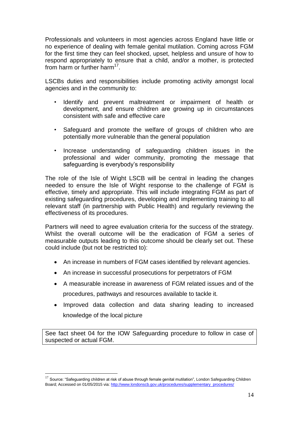Professionals and volunteers in most agencies across England have little or no experience of dealing with female genital mutilation. Coming across FGM for the first time they can feel shocked, upset, helpless and unsure of how to respond appropriately to ensure that a child, and/or a mother, is protected from harm or further harm<sup>17</sup>.

LSCBs duties and responsibilities include promoting activity amongst local agencies and in the community to:

- Identify and prevent maltreatment or impairment of health or development, and ensure children are growing up in circumstances consistent with safe and effective care
- Safeguard and promote the welfare of groups of children who are potentially more vulnerable than the general population
- Increase understanding of safeguarding children issues in the professional and wider community, promoting the message that safeguarding is everybody's responsibility

The role of the Isle of Wight LSCB will be central in leading the changes needed to ensure the Isle of Wight response to the challenge of FGM is effective, timely and appropriate. This will include integrating FGM as part of existing safeguarding procedures, developing and implementing training to all relevant staff (in partnership with Public Health) and regularly reviewing the effectiveness of its procedures.

Partners will need to agree evaluation criteria for the success of the strategy. Whilst the overall outcome will be the eradication of FGM a series of measurable outputs leading to this outcome should be clearly set out. These could include (but not be restricted to):

- An increase in numbers of FGM cases identified by relevant agencies.
- An increase in successful prosecutions for perpetrators of FGM
- A measurable increase in awareness of FGM related issues and of the procedures, pathways and resources available to tackle it.
- Improved data collection and data sharing leading to increased knowledge of the local picture

See fact sheet 04 for the IOW Safeguarding procedure to follow in case of suspected or actual FGM.

<u>.</u>

 $17$  Source: "Safeguarding children at risk of abuse through female genital mutilation", London Safeguarding Children Board; Accessed on 01/05/2015 via[: http://www.londonscb.gov.uk/procedures/supplementary\\_procedures/](http://www.londonscb.gov.uk/procedures/supplementary_procedures/)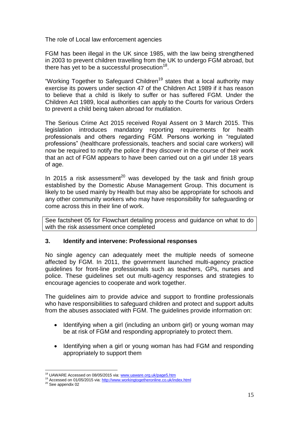The role of Local law enforcement agencies

FGM has been illegal in the UK since 1985, with the law being strengthened in 2003 to prevent children travelling from the UK to undergo FGM abroad, but there has yet to be a successful prosecution $^{18}$ .

"Working Together to Safeguard Children<sup>19</sup> states that a local authority may exercise its powers under section 47 of the Children Act 1989 if it has reason to believe that a child is likely to suffer or has suffered FGM. Under the Children Act 1989, local authorities can apply to the Courts for various Orders to prevent a child being taken abroad for mutilation.

The Serious Crime Act 2015 received Royal Assent on 3 March 2015. This legislation introduces mandatory reporting requirements for health professionals and others regarding FGM. Persons working in "regulated professions" (healthcare professionals, teachers and social care workers) will now be required to notify the police if they discover in the course of their work that an act of FGM appears to have been carried out on a girl under 18 years of age.

In 2015 a risk assessment<sup>20</sup> was developed by the task and finish group established by the Domestic Abuse Management Group. This document is likely to be used mainly by Health but may also be appropriate for schools and any other community workers who may have responsibility for safeguarding or come across this in their line of work.

See factsheet 05 for Flowchart detailing process and guidance on what to do with the risk assessment once completed

# **3. Identify and intervene: Professional responses**

No single agency can adequately meet the multiple needs of someone affected by FGM. In 2011, the government launched multi-agency practice guidelines for front-line professionals such as teachers, GPs, nurses and police. These guidelines set out multi-agency responses and strategies to encourage agencies to cooperate and work together.

The guidelines aim to provide advice and support to frontline professionals who have responsibilities to safeguard children and protect and support adults from the abuses associated with FGM. The guidelines provide information on:

- Identifying when a girl (including an unborn girl) or young woman may be at risk of FGM and responding appropriately to protect them.
- Identifying when a girl or young woman has had FGM and responding appropriately to support them

<sup>1</sup> <sup>18</sup> UAWARE Accessed on 08/05/2015 via: [www.uaware.org.uk/page5.htm](http://www.uaware.org.uk/page5.htm)

<sup>19</sup> Accessed on 01/05/2015 via[: http://www.workingtogetheronline.co.uk/index.html](http://www.workingtogetheronline.co.uk/index.html)

<sup>&</sup>lt;sup>20</sup> See appendix 02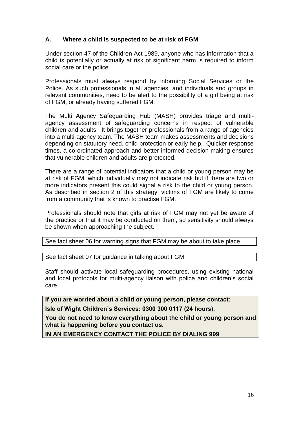## **A. Where a child is suspected to be at risk of FGM**

Under section 47 of the Children Act 1989, anyone who has information that a child is potentially or actually at risk of significant harm is required to inform social care or the police.

Professionals must always respond by informing Social Services or the Police. As such professionals in all agencies, and individuals and groups in relevant communities, need to be alert to the possibility of a girl being at risk of FGM, or already having suffered FGM.

The Multi Agency Safeguarding Hub (MASH) provides triage and multiagency assessment of safeguarding concerns in respect of vulnerable children and adults. It brings together professionals from a range of agencies into a multi-agency team. The MASH team makes assessments and decisions depending on statutory need, child protection or early help. Quicker response times, a co-ordinated approach and better informed decision making ensures that vulnerable children and adults are protected.

There are a range of potential indicators that a child or young person may be at risk of FGM, which individually may not indicate risk but if there are two or more indicators present this could signal a risk to the child or young person. As described in section 2 of this strategy, victims of FGM are likely to come from a community that is known to practise FGM.

Professionals should note that girls at risk of FGM may not yet be aware of the practice or that it may be conducted on them, so sensitivity should always be shown when approaching the subject.

See fact sheet 06 for warning signs that FGM may be about to take place.

See fact sheet 07 for guidance in talking about FGM

Staff should activate local safeguarding procedures, using existing national and local protocols for multi-agency liaison with police and children's social care.

**If you are worried about a child or young person, please contact: Isle of Wight Children's Services: 0300 300 0117 (24 hours).**

**You do not need to know everything about the child or young person and what is happening before you contact us.**

**IN AN EMERGENCY CONTACT THE POLICE BY DIALING 999**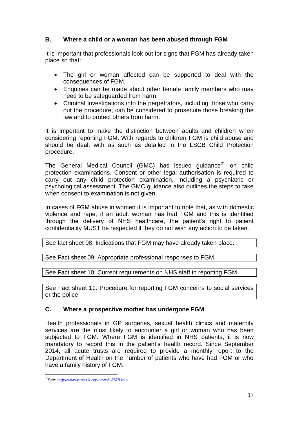# **B. Where a child or a woman has been abused through FGM**

It is important that professionals look out for signs that FGM has already taken place so that:

- The girl or woman affected can be supported to deal with the consequences of FGM.
- Enquiries can be made about other female family members who may need to be safeguarded from harm.
- Criminal investigations into the perpetrators, including those who carry out the procedure, can be considered to prosecute those breaking the law and to protect others from harm.

It is important to make the distinction between adults and children when considering reporting FGM. With regards to children FGM is child abuse and should be dealt with as such as detailed in the LSCB Child Protection procedure.

The General Medical Council (GMC) has issued quidance $21$  on child protection examinations. Consent or other legal authorisation is required to carry out any child protection examination, including a psychiatric or psychological assessment. The GMC guidance also outlines the steps to take when consent to examination is not given.

In cases of FGM abuse in women it is important to note that, as with domestic violence and rape, if an adult woman has had FGM and this is identified through the delivery of NHS healthcare, the patient's right to patient confidentiality MUST be respected if they do not wish any action to be taken.

See fact sheet 08: Indications that FGM may have already taken place.

See Fact sheet 09: Appropriate professional responses to FGM.

See Fact sheet 10: Current requirements on NHS staff in reporting FGM.

See Fact sheet 11: Procedure for reporting FGM concerns to social services or the police

# **C. Where a prospective mother has undergone FGM**

Health professionals in GP surgeries, sexual health clinics and maternity services are the most likely to encounter a girl or woman who has been subjected to FGM. Where FGM is identified in NHS patients, it is now mandatory to record this in the patient's health record. Since September 2014, all acute trusts are required to provide a monthly report to the Department of Health on the number of patients who have had FGM or who have a family history of FGM.

<sup>1</sup> <sup>21</sup>See[: http://www.gmc-uk.org/news/13578.asp](http://www.gmc-uk.org/news/13578.asp)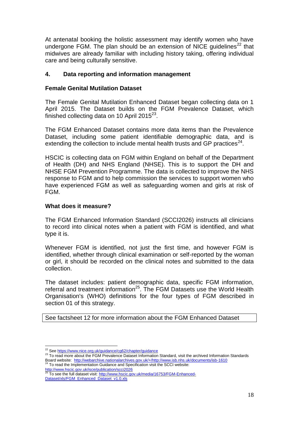At antenatal booking the holistic assessment may identify women who have undergone FGM. The plan should be an extension of NICE guidelines<sup>22</sup> that midwives are already familiar with including history taking, offering individual care and being culturally sensitive.

## **4. Data reporting and information management**

## **Female Genital Mutilation Dataset**

The Female Genital Mutilation Enhanced Dataset began collecting data on 1 April 2015. The Dataset builds on the FGM Prevalence Dataset, which finished collecting data on 10 April 2015 $^{23}$ .

The FGM Enhanced Dataset contains more data items than the Prevalence Dataset, including some patient identifiable demographic data, and is extending the collection to include mental health trusts and GP practices $^{24}$ .

HSCIC is collecting data on FGM within England on behalf of the Department of Health (DH) and NHS England (NHSE). This is to support the DH and NHSE FGM Prevention Programme. The data is collected to improve the NHS response to FGM and to help commission the services to support women who have experienced FGM as well as safeguarding women and girls at risk of FGM.

## **What does it measure?**

The FGM Enhanced Information Standard (SCCI2026) instructs all clinicians to record into clinical notes when a patient with FGM is identified, and what type it is.

Whenever FGM is identified, not just the first time, and however FGM is identified, whether through clinical examination or self-reported by the woman or girl, it should be recorded on the clinical notes and submitted to the data collection.

The dataset includes: patient demographic data, specific FGM information, referral and treatment information<sup>25</sup>. The FGM Datasets use the World Health Organisation's (WHO) definitions for the four types of FGM described in section 01 of this strategy.

See factsheet 12 for more information about the FGM Enhanced Dataset

<sup>1</sup> <sup>22</sup> Se[e https://www.nice.org.uk/guidance/cg62/chapter/guidance](https://www.nice.org.uk/guidance/cg62/chapter/guidance)

<sup>&</sup>lt;sup>23</sup> To read more about the FGM Prevalence Dataset Information Standard, visit the archived Information Standards Board website: http://web.nationalarchives.gov.uk/+/http://www.isb.nhs.uk/documents/isb-1610<br><sup>24</sup> To reed the implementation Outlance and Dussitional County-Vieww.isb.nhs.uk/documents/isb-1610 To read the Implementation Guidance and Specification visit the SCCI website:

<sup>&</sup>lt;u><http://www.hscic.gov.uk/isce/publication/scci2026></u><br><sup>25</sup> To see the full dataset visit: <u>http://www.hscic.gov.uk/media/16753/FGM-Enhanced-</u> [Dataset/xls/FGM\\_Enhanced\\_Dataset\\_v1.0.xls](http://www.hscic.gov.uk/media/16753/FGM-Enhanced-Dataset/xls/FGM_Enhanced_Dataset_v1.0.xls)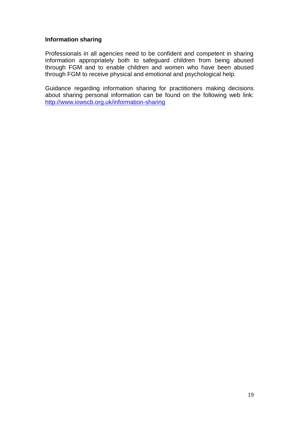## **Information sharing**

Professionals in all agencies need to be confident and competent in sharing information appropriately both to safeguard children from being abused through FGM and to enable children and women who have been abused through FGM to receive physical and emotional and psychological help.

Guidance regarding information sharing for practitioners making decisions about sharing personal information can be found on the following web link: <http://www.iowscb.org.uk/information-sharing>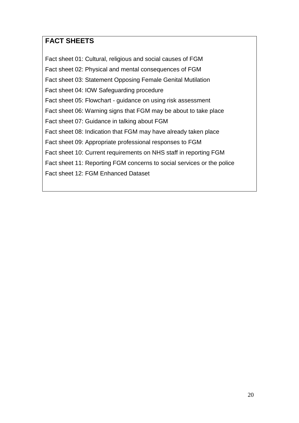# **FACT SHEETS**

Fact sheet 01: Cultural, religious and social causes of FGM Fact sheet 02: Physical and mental consequences of FGM Fact sheet 03: Statement Opposing Female Genital Mutilation Fact sheet 04: IOW Safeguarding procedure Fact sheet 05: Flowchart - guidance on using risk assessment Fact sheet 06: Warning signs that FGM may be about to take place Fact sheet 07: Guidance in talking about FGM Fact sheet 08: Indication that FGM may have already taken place Fact sheet 09: Appropriate professional responses to FGM Fact sheet 10: Current requirements on NHS staff in reporting FGM Fact sheet 11: Reporting FGM concerns to social services or the police Fact sheet 12: FGM Enhanced Dataset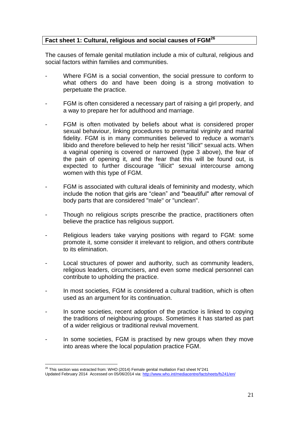# **Fact sheet 1: Cultural, religious and social causes of FGM<sup>26</sup>**

The causes of female genital mutilation include a mix of cultural, religious and social factors within families and communities.

- Where FGM is a social convention, the social pressure to conform to what others do and have been doing is a strong motivation to perpetuate the practice.
- FGM is often considered a necessary part of raising a girl properly, and a way to prepare her for adulthood and marriage.
- FGM is often motivated by beliefs about what is considered proper sexual behaviour, linking procedures to premarital virginity and marital fidelity. FGM is in many communities believed to reduce a woman's libido and therefore believed to help her resist "illicit" sexual acts. When a vaginal opening is covered or narrowed (type 3 above), the fear of the pain of opening it, and the fear that this will be found out, is expected to further discourage "illicit" sexual intercourse among women with this type of FGM.
- FGM is associated with cultural ideals of femininity and modesty, which include the notion that girls are "clean" and "beautiful" after removal of body parts that are considered "male" or "unclean".
- Though no religious scripts prescribe the practice, practitioners often believe the practice has religious support.
- Religious leaders take varying positions with regard to FGM: some promote it, some consider it irrelevant to religion, and others contribute to its elimination.
- Local structures of power and authority, such as community leaders, religious leaders, circumcisers, and even some medical personnel can contribute to upholding the practice.
- In most societies, FGM is considered a cultural tradition, which is often used as an argument for its continuation.
- In some societies, recent adoption of the practice is linked to copying the traditions of neighbouring groups. Sometimes it has started as part of a wider religious or traditional revival movement.
- In some societies, FGM is practised by new groups when they move into areas where the local population practice FGM.

<sup>&</sup>lt;u>.</u>  $^{26}$  This section was extracted from: WHO (2014) Female genital mutilation Fact sheet N°241

Updated February 2014 Accessed on 05/06/2014 via:<http://www.who.int/mediacentre/factsheets/fs241/en/>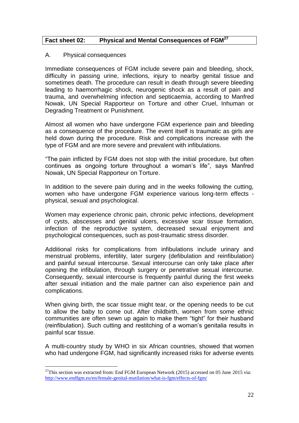## **Fact sheet 02: Physical and Mental Consequences of FGM<sup>27</sup>**

#### A. Physical consequences

<u>.</u>

Immediate consequences of FGM include severe pain and bleeding, shock, difficulty in passing urine, infections, injury to nearby genital tissue and sometimes death. The procedure can result in death through severe bleeding leading to haemorrhagic shock, neurogenic shock as a result of pain and trauma, and overwhelming infection and septicaemia, according to Manfred Nowak, UN Special Rapporteur on Torture and other Cruel, Inhuman or Degrading Treatment or Punishment.

Almost all women who have undergone FGM experience pain and bleeding as a consequence of the procedure. The event itself is traumatic as girls are held down during the procedure. Risk and complications increase with the type of FGM and are more severe and prevalent with infibulations.

"The pain inflicted by FGM does not stop with the initial procedure, but often continues as ongoing torture throughout a woman's life", says Manfred Nowak, UN Special Rapporteur on Torture.

In addition to the severe pain during and in the weeks following the cutting, women who have undergone FGM experience various long-term effects physical, sexual and psychological.

Women may experience chronic pain, chronic pelvic infections, development of cysts, abscesses and genital ulcers, excessive scar tissue formation, infection of the reproductive system, decreased sexual enjoyment and psychological consequences, such as post-traumatic stress disorder.

Additional risks for complications from infibulations include urinary and menstrual problems, infertility, later surgery (defibulation and reinfibulation) and painful sexual intercourse. Sexual intercourse can only take place after opening the infibulation, through surgery or penetrative sexual intercourse. Consequently, sexual intercourse is frequently painful during the first weeks after sexual initiation and the male partner can also experience pain and complications.

When giving birth, the scar tissue might tear, or the opening needs to be cut to allow the baby to come out. After childbirth, women from some ethnic communities are often sewn up again to make them "tight" for their husband (reinfibulation). Such cutting and restitching of a woman's genitalia results in painful scar tissue.

A multi-country study by WHO in six African countries, showed that women who had undergone FGM, had significantly increased risks for adverse events

<sup>&</sup>lt;sup>27</sup>This section was extracted from: End FGM European Network (2015) accessed on 05 June 2015 via: <http://www.endfgm.eu/en/female-genital-mutilation/what-is-fgm/effects-of-fgm/>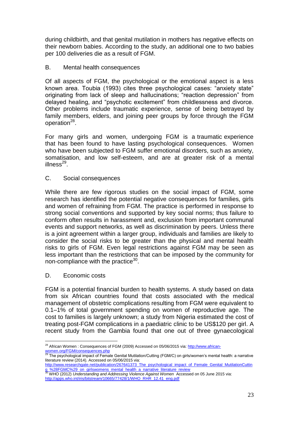during childbirth, and that genital mutilation in mothers has negative effects on their newborn babies. According to the study, an additional one to two babies per 100 deliveries die as a result of FGM.

## B. Mental health consequences

Of all aspects of FGM, the psychological or the emotional aspect is a less known area. Toubia (1993) cites three psychological cases: "anxiety state" originating from lack of sleep and hallucinations; "reaction depression" from delayed healing, and "psychotic excitement" from childlessness and divorce. Other problems include traumatic experience, sense of being betrayed by family members, elders, and joining peer groups by force through the FGM operation<sup>28</sup>.

For many girls and women, undergoing FGM is a traumatic experience that has been found to have lasting psychological consequences. Women who have been subjected to FGM suffer emotional disorders, such as anxiety, somatisation, and low self-esteem, and are at greater risk of a mental illness<sup>29</sup>.

## C. Social consequences

While there are few rigorous studies on the social impact of FGM, some research has identified the potential negative consequences for families, girls and women of refraining from FGM. The practice is performed in response to strong social conventions and supported by key social norms; thus failure to conform often results in harassment and, exclusion from important communal events and support networks, as well as discrimination by peers. Unless there is a joint agreement within a larger group, individuals and families are likely to consider the social risks to be greater than the physical and mental health risks to girls of FGM. Even legal restrictions against FGM may be seen as less important than the restrictions that can be imposed by the community for non-compliance with the practice<sup>30</sup>.

## D. Economic costs

FGM is a potential financial burden to health systems. A study based on data from six African countries found that costs associated with the medical management of obstetric complications resulting from FGM were equivalent to 0.1–1% of total government spending on women of reproductive age. The cost to families is largely unknown; a study from Nigeria estimated the cost of treating post-FGM complications in a paediatric clinic to be US\$120 per girl. A recent study from the Gambia found that one out of three gynaecological

[http://www.researchgate.net/publication/267641373\\_The\\_psychological\\_impact\\_of\\_Female\\_Genital\\_MutilationCuttin](http://www.researchgate.net/publication/267641373_The_psychological_impact_of_Female_Genital_MutilationCutting_%28FGMC%29_on_girlswomens_mental_health_a_narrative_literature_review)<br>g %28FGMC%29\_on\_girlswomens\_mental\_health\_a\_narrative\_literature\_review [g\\_%28FGMC%29\\_on\\_girlswomens\\_mental\\_health\\_a\\_narrative\\_literature\\_review](http://www.researchgate.net/publication/267641373_The_psychological_impact_of_Female_Genital_MutilationCutting_%28FGMC%29_on_girlswomens_mental_health_a_narrative_literature_review) <sup>30</sup> WHO (2012) *Understanding and Addressing Violence Against Women* Accessed on 05 June 2015 via:

<sup>1</sup> <sup>28</sup> African Women : Consequences of FGM (2009) Accessed on 05/06/2015 via: <u>http://www.african-</u> [women.org/FGM/consequences.php](http://www.african-women.org/FGM/consequences.php)<br>29 The national state of

The psychological impact of Female Genital Mutilation/Cutting (FGM/C) on girls/women's mental health: a narrative literature review (2014). Accessed on 05/06/2015 via:

[http://apps.who.int/iris/bitstream/10665/77428/1/WHO\\_RHR\\_12.41\\_eng.pdf](http://apps.who.int/iris/bitstream/10665/77428/1/WHO_RHR_12.41_eng.pdf)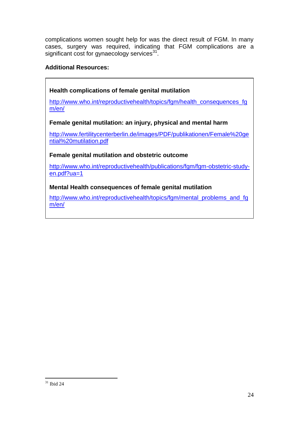complications women sought help for was the direct result of FGM. In many cases, surgery was required, indicating that FGM complications are a significant cost for gynaecology services<sup>31</sup>.

# **Additional Resources:**

**Health complications of female genital mutilation** [http://www.who.int/reproductivehealth/topics/fgm/health\\_consequences\\_fg](http://www.who.int/reproductivehealth/topics/fgm/health_consequences_fgm/en/)

[m/en/](http://www.who.int/reproductivehealth/topics/fgm/health_consequences_fgm/en/)

**Female genital mutilation: an injury, physical and mental harm**

[http://www.fertilitycenterberlin.de/images/PDF/publikationen/Female%20ge](http://www.fertilitycenterberlin.de/images/PDF/publikationen/Female%20gential%20mutilation.pdf) [ntial%20mutilation.pdf](http://www.fertilitycenterberlin.de/images/PDF/publikationen/Female%20gential%20mutilation.pdf)

**Female genital mutilation and obstetric outcome**

[http://www.who.int/reproductivehealth/publications/fgm/fgm-obstetric-study](http://www.who.int/reproductivehealth/publications/fgm/fgm-obstetric-study-en.pdf?ua=1)[en.pdf?ua=1](http://www.who.int/reproductivehealth/publications/fgm/fgm-obstetric-study-en.pdf?ua=1)

**Mental Health consequences of female genital mutilation**

[http://www.who.int/reproductivehealth/topics/fgm/mental\\_problems\\_and\\_fg](http://www.who.int/reproductivehealth/topics/fgm/mental_problems_and_fgm/en/) [m/en/](http://www.who.int/reproductivehealth/topics/fgm/mental_problems_and_fgm/en/)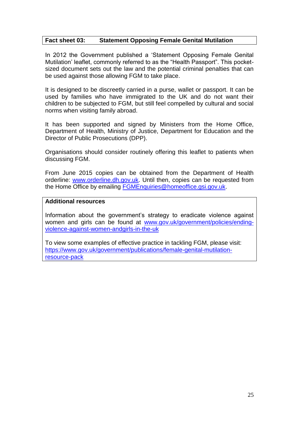#### **Fact sheet 03: Statement Opposing Female Genital Mutilation**

In 2012 the Government published a 'Statement Opposing Female Genital Mutilation' leaflet, commonly referred to as the "Health Passport". This pocketsized document sets out the law and the potential criminal penalties that can be used against those allowing FGM to take place.

It is designed to be discreetly carried in a purse, wallet or passport. It can be used by families who have immigrated to the UK and do not want their children to be subjected to FGM, but still feel compelled by cultural and social norms when visiting family abroad.

It has been supported and signed by Ministers from the Home Office, Department of Health, Ministry of Justice, Department for Education and the Director of Public Prosecutions (DPP).

Organisations should consider routinely offering this leaflet to patients when discussing FGM.

From June 2015 copies can be obtained from the Department of Health orderline: [www.orderline.dh.gov.uk.](http://www.orderline.dh.gov.uk/) Until then, copies can be requested from the Home Office by emailing [FGMEnquiries@homeoffice.gsi.gov.uk.](mailto:FGMEnquiries@homeoffice.gsi.gov.uk)

#### **Additional resources**

Information about the government's strategy to eradicate violence against women and girls can be found at [www.gov.uk/government/policies/ending](http://www.gov.uk/government/policies/ending-violence-against-women-andgirls-in-the-uk)[violence-against-women-andgirls-in-the-uk](http://www.gov.uk/government/policies/ending-violence-against-women-andgirls-in-the-uk)

To view some examples of effective practice in tackling FGM, please visit: [https://www.gov.uk/government/publications/female-genital-mutilation](https://www.gov.uk/government/publications/female-genital-mutilation-resource-pack)[resource-pack](https://www.gov.uk/government/publications/female-genital-mutilation-resource-pack)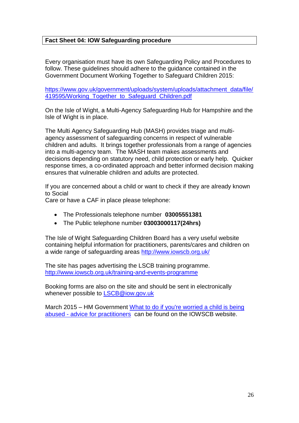## **Fact Sheet 04: IOW Safeguarding procedure**

Every organisation must have its own Safeguarding Policy and Procedures to follow. These guidelines should adhere to the guidance contained in the Government Document Working Together to Safeguard Children 2015:

[https://www.gov.uk/government/uploads/system/uploads/attachment\\_data/file/](https://www.gov.uk/government/uploads/system/uploads/attachment_data/file/419595/Working_Together_to_Safeguard_Children.pdf) 419595/Working Together to Safeguard Children.pdf

On the Isle of Wight, a Multi-Agency Safeguarding Hub for Hampshire and the Isle of Wight is in place.

The Multi Agency Safeguarding Hub (MASH) provides triage and multiagency assessment of safeguarding concerns in respect of vulnerable children and adults. It brings together professionals from a range of agencies into a multi-agency team. The MASH team makes assessments and decisions depending on statutory need, child protection or early help. Quicker response times, a co-ordinated approach and better informed decision making ensures that vulnerable children and adults are protected.

If you are concerned about a child or want to check if they are already known to Social

Care or have a CAF in place please telephone:

- The Professionals telephone number **03005551381**
- The Public telephone number **03003000117(24hrs)**

The Isle of Wight Safeguarding Children Board has a very useful website containing helpful information for practitioners, parents/cares and children on a wide range of safeguarding areas<http://www.iowscb.org.uk/>

The site has pages advertising the LSCB training programme. <http://www.iowscb.org.uk/training-and-events-programme>

Booking forms are also on the site and should be sent in electronically whenever possible to **LSCB@iow.gov.uk** 

March 2015 – HM Government [What to do if you're worried a child is being](https://www.gov.uk/government/uploads/system/uploads/attachment_data/file/416455/What_to_do_if_you_re_worried_a_child_is_being_abused.pdf)  abused - [advice for practitioners](https://www.gov.uk/government/uploads/system/uploads/attachment_data/file/416455/What_to_do_if_you_re_worried_a_child_is_being_abused.pdf) can be found on the IOWSCB website.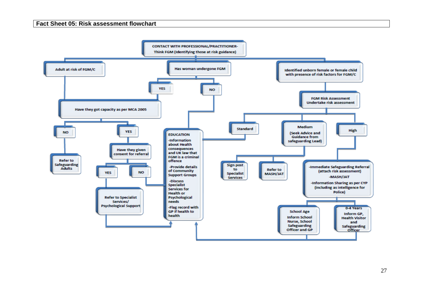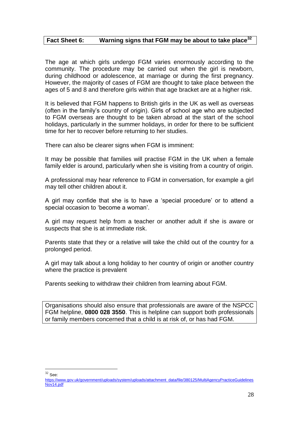# **Fact Sheet 6: Warning signs that FGM may be about to take place<sup>32</sup>**

The age at which girls undergo FGM varies enormously according to the community. The procedure may be carried out when the girl is newborn, during childhood or adolescence, at marriage or during the first pregnancy. However, the majority of cases of FGM are thought to take place between the ages of 5 and 8 and therefore girls within that age bracket are at a higher risk.

It is believed that FGM happens to British girls in the UK as well as overseas (often in the family's country of origin). Girls of school age who are subjected to FGM overseas are thought to be taken abroad at the start of the school holidays, particularly in the summer holidays, in order for there to be sufficient time for her to recover before returning to her studies.

There can also be clearer signs when FGM is imminent:

It may be possible that families will practise FGM in the UK when a female family elder is around, particularly when she is visiting from a country of origin.

A professional may hear reference to FGM in conversation, for example a girl may tell other children about it.

A girl may confide that she is to have a 'special procedure' or to attend a special occasion to 'become a woman'.

A girl may request help from a teacher or another adult if she is aware or suspects that she is at immediate risk.

Parents state that they or a relative will take the child out of the country for a prolonged period.

A girl may talk about a long holiday to her country of origin or another country where the practice is prevalent

Parents seeking to withdraw their children from learning about FGM.

Organisations should also ensure that professionals are aware of the NSPCC FGM helpline, **0800 028 3550**. This is helpline can support both professionals or family members concerned that a child is at risk of, or has had FGM.

 $\overline{a}$  $32$  See:

[https://www.gov.uk/government/uploads/system/uploads/attachment\\_data/file/380125/MultiAgencyPracticeGuidelines](https://www.gov.uk/government/uploads/system/uploads/attachment_data/file/380125/MultiAgencyPracticeGuidelinesNov14.pdf) [Nov14.pdf](https://www.gov.uk/government/uploads/system/uploads/attachment_data/file/380125/MultiAgencyPracticeGuidelinesNov14.pdf)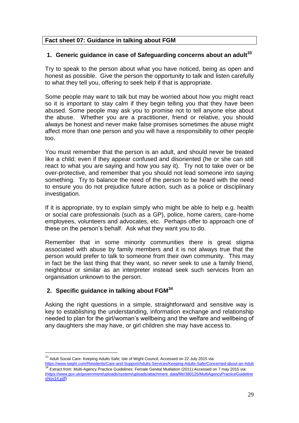## **Fact sheet 07: Guidance in talking about FGM**

# **1. Generic guidance in case of Safeguarding concerns about an adult<sup>33</sup>**

Try to speak to the person about what you have noticed, being as open and honest as possible. Give the person the opportunity to talk and listen carefully to what they tell you, offering to seek help if that is appropriate.

Some people may want to talk but may be worried about how you might react so it is important to stay calm if they begin telling you that they have been abused. Some people may ask you to promise not to tell anyone else about the abuse. Whether you are a practitioner, friend or relative, you should always be honest and never make false promises sometimes the abuse might affect more than one person and you will have a responsibility to other people too.

You must remember that the person is an adult, and should never be treated like a child; even if they appear confused and disoriented (he or she can still react to what you are saying and how you say it). Try not to take over or be over-protective, and remember that you should not lead someone into saying something. Try to balance the need of the person to be heard with the need to ensure you do not prejudice future action, such as a police or disciplinary investigation.

If it is appropriate, try to explain simply who might be able to help e.g. health or social care professionals (such as a GP), police, home carers, care-home employees, volunteers and advocates, etc. Perhaps offer to approach one of these on the person's behalf. Ask what they want you to do.

Remember that in some minority communities there is great stigma associated with abuse by family members and it is not always true that the person would prefer to talk to someone from their own community. This may in fact be the last thing that they want, so never seek to use a family friend, neighbour or similar as an interpreter instead seek such services from an organisation unknown to the person.

# **2. Specific guidance in talking about FGM<sup>34</sup>**

 $\overline{a}$ 

Asking the right questions in a simple, straightforward and sensitive way is key to establishing the understanding, information exchange and relationship needed to plan for the girl/woman's wellbeing and the welfare and wellbeing of any daughters she may have, or girl children she may have access to.

 $33$  Adult Social Care: Keeping Adults Safe; Isle of Wight Council, Accessed on 22 July 2015 via:

<sup>&</sup>lt;u><https://www.iwight.com/Residents/Care-and-Support/Adults-Services/Keeping-Adults-Safe/Concerned-about-an-Adult><br><sup>34</sup> Extract from: Multi-Agency Practice Guidelines: Female Genital Mutilation (2011) Accessed on 7 may 2015 v</u> [\(https://www.gov.uk/government/uploads/system/uploads/attachment\\_data/file/380125/MultiAgencyPracticeGuideline](https://www.gov.uk/government/uploads/system/uploads/attachment_data/file/380125/MultiAgencyPracticeGuidelinesNov14.pdf) [sNov14.pdf\)](https://www.gov.uk/government/uploads/system/uploads/attachment_data/file/380125/MultiAgencyPracticeGuidelinesNov14.pdf)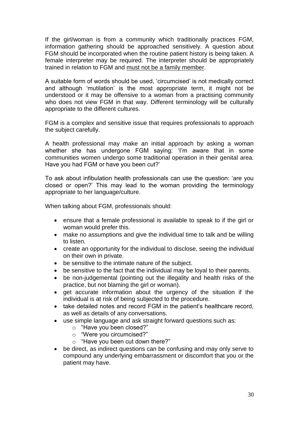If the girl/woman is from a community which traditionally practices FGM, information gathering should be approached sensitively. A question about FGM should be incorporated when the routine patient history is being taken. A female interpreter may be required. The interpreter should be appropriately trained in relation to FGM and must not be a family member.

A suitable form of words should be used, 'circumcised' is not medically correct and although 'mutilation' is the most appropriate term, it might not be understood or it may be offensive to a woman from a practising community who does not view FGM in that way. Different terminology will be culturally appropriate to the different cultures.

FGM is a complex and sensitive issue that requires professionals to approach the subject carefully.

A health professional may make an initial approach by asking a woman whether she has undergone FGM saying: 'I'm aware that in some communities women undergo some traditional operation in their genital area. Have you had FGM or have you been cut?'

To ask about infibulation health professionals can use the question: 'are you closed or open?' This may lead to the woman providing the terminology appropriate to her language/culture.

When talking about FGM, professionals should:

- ensure that a female professional is available to speak to if the girl or woman would prefer this.
- make no assumptions and give the individual time to talk and be willing to listen.
- create an opportunity for the individual to disclose, seeing the individual on their own in private.
- be sensitive to the intimate nature of the subject.
- be sensitive to the fact that the individual may be loyal to their parents.
- be non-judgemental (pointing out the illegality and health risks of the practice, but not blaming the girl or woman).
- get accurate information about the urgency of the situation if the individual is at risk of being subjected to the procedure.
- take detailed notes and record FGM in the patient's healthcare record, as well as details of any conversations.
- use simple language and ask straight forward questions such as:
	- o "Have you been closed?"
	- o "Were you circumcised?"
	- o "Have you been cut down there?"
- be direct, as indirect questions can be confusing and may only serve to compound any underlying embarrassment or discomfort that you or the patient may have.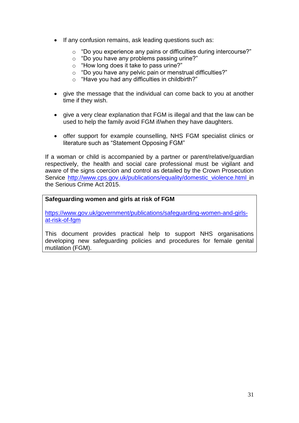- If any confusion remains, ask leading questions such as:
	- o "Do you experience any pains or difficulties during intercourse?"
	- o "Do you have any problems passing urine?"
	- o "How long does it take to pass urine?"
	- o "Do you have any pelvic pain or menstrual difficulties?"
	- o "Have you had any difficulties in childbirth?"
- give the message that the individual can come back to you at another time if they wish.
- give a very clear explanation that FGM is illegal and that the law can be used to help the family avoid FGM if/when they have daughters.
- offer support for example counselling, NHS FGM specialist clinics or literature such as "Statement Opposing FGM"

If a woman or child is accompanied by a partner or parent/relative/guardian respectively, the health and social care professional must be vigilant and aware of the signs coercion and control as detailed by the Crown Prosecution Service [http://www.cps.gov.uk/publications/equality/domestic\\_violence.html](http://www.cps.gov.uk/publications/equality/domestic_violence.html) in the Serious Crime Act 2015.

## **Safeguarding women and girls at risk of FGM**

[https://www.gov.uk/government/publications/safeguarding-women-and-girls](https://www.gov.uk/government/publications/safeguarding-women-and-girls-at-risk-of-fgm)[at-risk-of-fgm](https://www.gov.uk/government/publications/safeguarding-women-and-girls-at-risk-of-fgm)

This document provides practical help to support NHS organisations developing new safeguarding policies and procedures for female genital mutilation (FGM).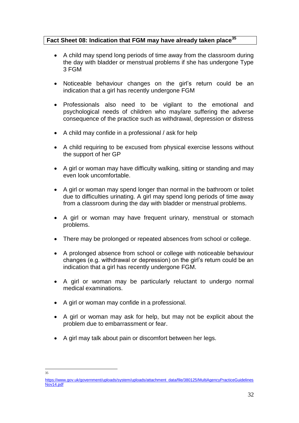## **Fact Sheet 08: Indication that FGM may have already taken place<sup>35</sup>**

- A child may spend long periods of time away from the classroom during the day with bladder or menstrual problems if she has undergone Type 3 FGM
- Noticeable behaviour changes on the girl's return could be an indication that a girl has recently undergone FGM
- Professionals also need to be vigilant to the emotional and psychological needs of children who may/are suffering the adverse consequence of the practice such as withdrawal, depression or distress
- A child may confide in a professional / ask for help
- A child requiring to be excused from physical exercise lessons without the support of her GP
- A girl or woman may have difficulty walking, sitting or standing and may even look uncomfortable.
- A girl or woman may spend longer than normal in the bathroom or toilet due to difficulties urinating. A girl may spend long periods of time away from a classroom during the day with bladder or menstrual problems.
- A girl or woman may have frequent urinary, menstrual or stomach problems.
- There may be prolonged or repeated absences from school or college.
- A prolonged absence from school or college with noticeable behaviour changes (e.g. withdrawal or depression) on the girl's return could be an indication that a girl has recently undergone FGM.
- A girl or woman may be particularly reluctant to undergo normal medical examinations.
- A girl or woman may confide in a professional.

 $\overline{a}$ 35

- A girl or woman may ask for help, but may not be explicit about the problem due to embarrassment or fear.
- A girl may talk about pain or discomfort between her legs.

[https://www.gov.uk/government/uploads/system/uploads/attachment\\_data/file/380125/MultiAgencyPracticeGuidelines](https://www.gov.uk/government/uploads/system/uploads/attachment_data/file/380125/MultiAgencyPracticeGuidelinesNov14.pdf) [Nov14.pdf](https://www.gov.uk/government/uploads/system/uploads/attachment_data/file/380125/MultiAgencyPracticeGuidelinesNov14.pdf)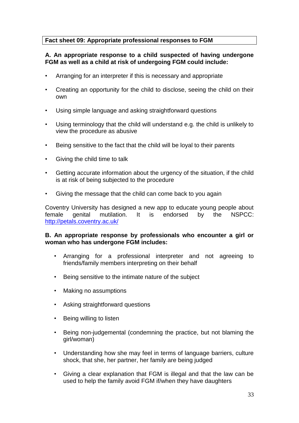# **Fact sheet 09: Appropriate professional responses to FGM**

## **A. An appropriate response to a child suspected of having undergone FGM as well as a child at risk of undergoing FGM could include:**

- Arranging for an interpreter if this is necessary and appropriate
- Creating an opportunity for the child to disclose, seeing the child on their own
- Using simple language and asking straightforward questions
- Using terminology that the child will understand e.g. the child is unlikely to view the procedure as abusive
- Being sensitive to the fact that the child will be loyal to their parents
- Giving the child time to talk
- Getting accurate information about the urgency of the situation, if the child is at risk of being subjected to the procedure
- Giving the message that the child can come back to you again

Coventry University has designed a new app to educate young people about female genital mutilation. It is endorsed by the NSPCC: <http://petals.coventry.ac.uk/>

## **B. An appropriate response by professionals who encounter a girl or woman who has undergone FGM includes:**

- Arranging for a professional interpreter and not agreeing to friends/family members interpreting on their behalf
- Being sensitive to the intimate nature of the subject
- Making no assumptions
- Asking straightforward questions
- Being willing to listen
- Being non-judgemental (condemning the practice, but not blaming the girl/woman)
- Understanding how she may feel in terms of language barriers, culture shock, that she, her partner, her family are being judged
- Giving a clear explanation that FGM is illegal and that the law can be used to help the family avoid FGM if/when they have daughters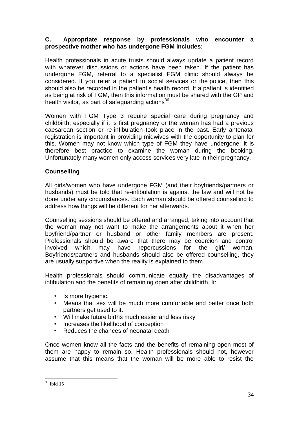## **C. Appropriate response by professionals who encounter a prospective mother who has undergone FGM includes:**

Health professionals in acute trusts should always update a patient record with whatever discussions or actions have been taken. If the patient has undergone FGM, referral to a specialist FGM clinic should always be considered. If you refer a patient to social services or the police, then this should also be recorded in the patient's health record. If a patient is identified as being at risk of FGM, then this information must be shared with the GP and health visitor, as part of safeguarding actions<sup>36</sup>.

Women with FGM Type 3 require special care during pregnancy and childbirth, especially if it is first pregnancy or the woman has had a previous caesarean section or re-infibulation took place in the past. Early antenatal registration is important in providing midwives with the opportunity to plan for this. Women may not know which type of FGM they have undergone; it is therefore best practice to examine the woman during the booking. Unfortunately many women only access services very late in their pregnancy.

# **Counselling**

All girls/women who have undergone FGM (and their boyfriends/partners or husbands) must be told that re-infibulation is against the law and will not be done under any circumstances. Each woman should be offered counselling to address how things will be different for her afterwards.

Counselling sessions should be offered and arranged, taking into account that the woman may not want to make the arrangements about it when her boyfriend/partner or husband or other family members are present. Professionals should be aware that there may be coercion and control involved which may have repercussions for the girl/ woman. Boyfriends/partners and husbands should also be offered counselling, they are usually supportive when the reality is explained to them.

Health professionals should communicate equally the disadvantages of infibulation and the benefits of remaining open after childbirth. It:

- Is more hygienic.
- Means that sex will be much more comfortable and better once both partners get used to it.
- Will make future births much easier and less risky
- Increases the likelihood of conception
- Reduces the chances of neonatal death

Once women know all the facts and the benefits of remaining open most of them are happy to remain so. Health professionals should not, however assume that this means that the woman will be more able to resist the

 $\overline{a}$ <sup>36</sup> Ibid 15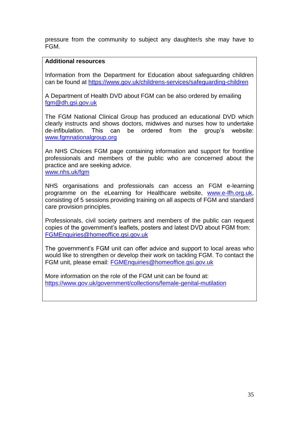pressure from the community to subject any daughter/s she may have to FGM.

## **Additional resources**

Information from the Department for Education about safeguarding children can be found at<https://www.gov.uk/childrens-services/safeguarding-children>

A Department of Health DVD about FGM can be also ordered by emailing [fgm@dh.gsi.gov.uk](mailto:fgm@dh.gsi.gov.uk)

The FGM National Clinical Group has produced an educational DVD which clearly instructs and shows doctors, midwives and nurses how to undertake de-infibulation. This can be ordered from the group's website: [www.fgmnationalgroup.org](http://www.fgmnationalgroup.org/)

An NHS Choices FGM page containing information and support for frontline professionals and members of the public who are concerned about the practice and are seeking advice. www.nhs.uk/fam

NHS organisations and professionals can access an FGM e-learning programme on the eLearning for Healthcare website, [www.e-lfh.org.uk,](http://www.e-lfh.org.uk/) consisting of 5 sessions providing training on all aspects of FGM and standard care provision principles.

Professionals, civil society partners and members of the public can request copies of the government's leaflets, posters and latest DVD about FGM from: [FGMEnquiries@homeoffice.gsi.gov.uk](mailto:FGMEnquiries@homeoffice.gsi.gov.uk)

The government's FGM unit can offer advice and support to local areas who would like to strengthen or develop their work on tackling FGM. To contact the FGM unit, please email: [FGMEnquiries@homeoffice.gsi.gov.uk](mailto:FGMEnquiries@homeoffice.gsi.gov.uk)

More information on the role of the FGM unit can be found at: <https://www.gov.uk/government/collections/female-genital-mutilation>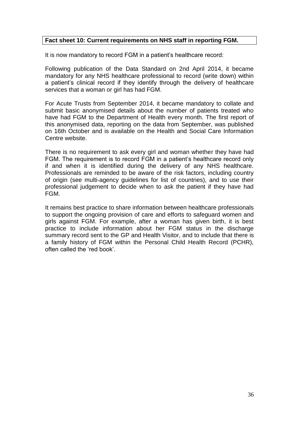# **Fact sheet 10: Current requirements on NHS staff in reporting FGM.**

It is now mandatory to record FGM in a patient's healthcare record:

Following publication of the Data Standard on 2nd April 2014, it became mandatory for any NHS healthcare professional to record (write down) within a patient's clinical record if they identify through the delivery of healthcare services that a woman or girl has had FGM.

For Acute Trusts from September 2014, it became mandatory to collate and submit basic anonymised details about the number of patients treated who have had FGM to the Department of Health every month. The first report of this anonymised data, reporting on the data from September, was published on 16th October and is available on the Health and Social Care Information Centre website.

There is no requirement to ask every girl and woman whether they have had FGM. The requirement is to record FGM in a patient's healthcare record only if and when it is identified during the delivery of any NHS healthcare. Professionals are reminded to be aware of the risk factors, including country of origin (see multi-agency guidelines for list of countries), and to use their professional judgement to decide when to ask the patient if they have had FGM.

It remains best practice to share information between healthcare professionals to support the ongoing provision of care and efforts to safeguard women and girls against FGM. For example, after a woman has given birth, it is best practice to include information about her FGM status in the discharge summary record sent to the GP and Health Visitor, and to include that there is a family history of FGM within the Personal Child Health Record (PCHR), often called the 'red book'.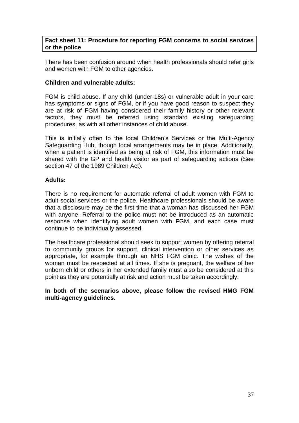#### **Fact sheet 11: Procedure for reporting FGM concerns to social services or the police**

There has been confusion around when health professionals should refer girls and women with FGM to other agencies.

## **Children and vulnerable adults:**

FGM is child abuse. If any child (under-18s) or vulnerable adult in your care has symptoms or signs of FGM, or if you have good reason to suspect they are at risk of FGM having considered their family history or other relevant factors, they must be referred using standard existing safeguarding procedures, as with all other instances of child abuse.

This is initially often to the local Children's Services or the Multi-Agency Safeguarding Hub, though local arrangements may be in place. Additionally, when a patient is identified as being at risk of FGM, this information must be shared with the GP and health visitor as part of safeguarding actions (See section 47 of the 1989 Children Act).

## **Adults:**

There is no requirement for automatic referral of adult women with FGM to adult social services or the police. Healthcare professionals should be aware that a disclosure may be the first time that a woman has discussed her FGM with anyone. Referral to the police must not be introduced as an automatic response when identifying adult women with FGM, and each case must continue to be individually assessed.

The healthcare professional should seek to support women by offering referral to community groups for support, clinical intervention or other services as appropriate, for example through an NHS FGM clinic. The wishes of the woman must be respected at all times. If she is pregnant, the welfare of her unborn child or others in her extended family must also be considered at this point as they are potentially at risk and action must be taken accordingly.

## **In both of the scenarios above, please follow the revised HMG FGM multi-agency guidelines.**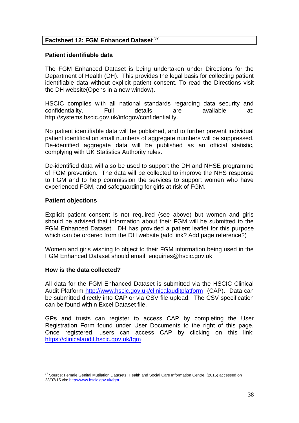## **Factsheet 12: FGM Enhanced Dataset <sup>37</sup>**

#### **Patient identifiable data**

The FGM Enhanced Dataset is being undertaken under Directions for the Department of Health (DH). This provides the legal basis for collecting patient identifiable data without explicit patient consent. To read the Directions visit the DH website(Opens in a new window).

HSCIC complies with all national standards regarding data security and confidentiality. Full details are available at: http://systems.hscic.gov.uk/infogov/confidentiality.

No patient identifiable data will be published, and to further prevent individual patient identification small numbers of aggregate numbers will be suppressed. De-identified aggregate data will be published as an official statistic, complying with UK Statistics Authority rules.

De-identified data will also be used to support the DH and NHSE programme of FGM prevention. The data will be collected to improve the NHS response to FGM and to help commission the services to support women who have experienced FGM, and safeguarding for girls at risk of FGM.

#### **Patient objections**

Explicit patient consent is not required (see above) but women and girls should be advised that information about their FGM will be submitted to the FGM Enhanced Dataset. DH has provided a patient leaflet for this purpose which can be ordered from the DH website (add link? Add page reference?)

Women and girls wishing to object to their FGM information being used in the FGM Enhanced Dataset should email: enquiries@hscic.gov.uk

#### **How is the data collected?**

All data for the FGM Enhanced Dataset is submitted via the HSCIC Clinical Audit Platform<http://www.hscic.gov.uk/clinicalauditplatform> (CAP). Data can be submitted directly into CAP or via CSV file upload. The CSV specification can be found within Excel Dataset file.

GPs and trusts can register to access CAP by completing the User Registration Form found under User Documents to the right of this page. Once registered, users can access CAP by clicking on this link: <https://clinicalaudit.hscic.gov.uk/fgm>

 $\overline{a}$ <sup>37</sup> Source: Female Genital Mutilation Datasets; Health and Social Care Information Centre, (2015) accessed on 23/07/15 via:<http://www.hscic.gov.uk/fgm>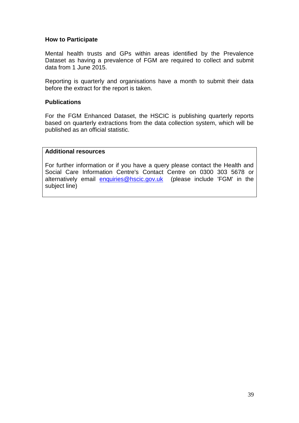## **How to Participate**

Mental health trusts and GPs within areas identified by the Prevalence Dataset as having a prevalence of FGM are required to collect and submit data from 1 June 2015.

Reporting is quarterly and organisations have a month to submit their data before the extract for the report is taken.

#### **Publications**

For the FGM Enhanced Dataset, the HSCIC is publishing quarterly reports based on quarterly extractions from the data collection system, which will be published as an official statistic.

## **Additional resources**

For further information or if you have a query please contact the Health and Social Care Information Centre's Contact Centre on 0300 303 5678 or alternatively email [enquiries@hscic.gov.uk](mailto:enquiries@hscic.gov.uk) (please include 'FGM' in the subject line)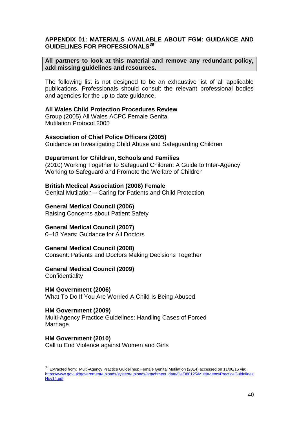#### **APPENDIX 01: MATERIALS AVAILABLE ABOUT FGM: GUIDANCE AND GUIDELINES FOR PROFESSIONALS<sup>38</sup>**

#### **All partners to look at this material and remove any redundant policy, add missing guidelines and resources.**

The following list is not designed to be an exhaustive list of all applicable publications. Professionals should consult the relevant professional bodies and agencies for the up to date guidance.

#### **All Wales Child Protection Procedures Review**

Group (2005) All Wales ACPC Female Genital Mutilation Protocol 2005

#### **Association of Chief Police Officers (2005)**

Guidance on Investigating Child Abuse and Safeguarding Children

#### **Department for Children, Schools and Families**

(2010) Working Together to Safeguard Children: A Guide to Inter-Agency Working to Safeguard and Promote the Welfare of Children

#### **British Medical Association (2006) Female**

Genital Mutilation – Caring for Patients and Child Protection

#### **General Medical Council (2006)**

Raising Concerns about Patient Safety

## **General Medical Council (2007)**

0–18 Years: Guidance for All Doctors

## **General Medical Council (2008)**

Consent: Patients and Doctors Making Decisions Together

#### **General Medical Council (2009)**

**Confidentiality** 

 $\overline{a}$ 

**HM Government (2006)**  What To Do If You Are Worried A Child Is Being Abused

#### **HM Government (2009)**

Multi-Agency Practice Guidelines: Handling Cases of Forced Marriage

## **HM Government (2010)**

Call to End Violence against Women and Girls

 $38$  Extracted from: Multi-Agency Practice Guidelines: Female Genital Mutilation (2014) accessed on 11/06/15 via: [https://www.gov.uk/government/uploads/system/uploads/attachment\\_data/file/380125/MultiAgencyPracticeGuidelines](https://www.gov.uk/government/uploads/system/uploads/attachment_data/file/380125/MultiAgencyPracticeGuidelinesNov14.pdf) [Nov14.pdf](https://www.gov.uk/government/uploads/system/uploads/attachment_data/file/380125/MultiAgencyPracticeGuidelinesNov14.pdf)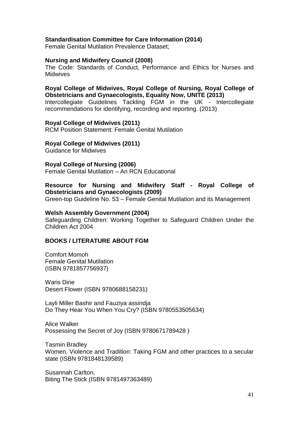#### **Standardisation Committee for Care Information (2014)**

Female Genital Mutilation Prevalence Dataset;

#### **Nursing and Midwifery Council (2008)**

The Code: Standards of Conduct, Performance and Ethics for Nurses and **Midwives** 

#### **Royal College of Midwives, Royal College of Nursing, Royal College of Obstetricians and Gynaecologists, Equality Now, UNITE (2013)**

Intercollegiate Guidelines Tackling FGM in the UK - Intercollegiate recommendations for identifying, recording and reporting. (2013)

#### **Royal College of Midwives (2011)**

RCM Position Statement: Female Genital Mutilation

#### **Royal College of Midwives (2011)**

Guidance for Midwives

#### **Royal College of Nursing (2006)**

Female Genital Mutilation – An RCN Educational

#### **Resource for Nursing and Midwifery Staff - Royal College of Obstetricians and Gynaecologists (2009)**

Green-top Guideline No. 53 – Female Genital Mutilation and its Management

#### **Welsh Assembly Government (2004)**

Safeguarding Children: Working Together to Safeguard Children Under the Children Act 2004

## **BOOKS / LITERATURE ABOUT FGM**

Comfort Momoh Female Genital Mutilation (ISBN 9781857756937)

Waris Dirie Desert Flower (ISBN 9780688158231)

Layli Miller Bashir and Fauziya assindja Do They Hear You When You Cry? (ISBN 9780553505634)

Alice Walker Possessing the Secret of Joy (ISBN 9780671789428 )

Tasmin Bradley Women, Violence and Tradition: Taking FGM and other practices to a secular state (ISBN 9781848139589)

Susannah Carlton, Biting The Stick (ISBN 9781497363489)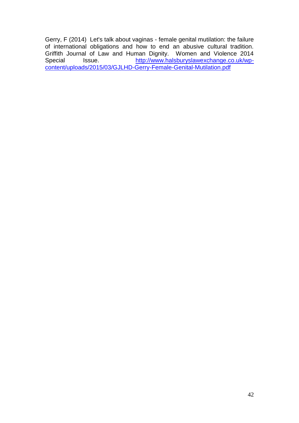Gerry, F (2014) Let's talk about vaginas - female genital mutilation: the failure of international obligations and how to end an abusive cultural tradition. Griffith Journal of Law and Human Dignity. Women and Violence 2014 Special Issue. [http://www.halsburyslawexchange.co.uk/wp](http://www.halsburyslawexchange.co.uk/wp-content/uploads/2015/03/GJLHD-Gerry-Female-Genital-Mutilation.pdf)[content/uploads/2015/03/GJLHD-Gerry-Female-Genital-Mutilation.pdf](http://www.halsburyslawexchange.co.uk/wp-content/uploads/2015/03/GJLHD-Gerry-Female-Genital-Mutilation.pdf)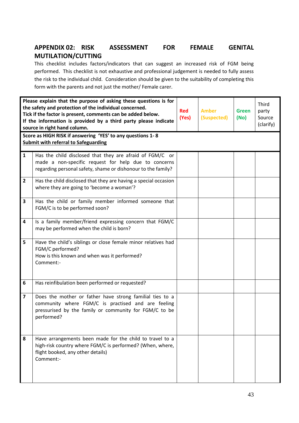# **APPENDIX 02: RISK ASSESSMENT FOR FEMALE GENITAL MUTILATION/CUTTING**

This checklist includes factors/indicators that can suggest an increased risk of FGM being performed. This checklist is not exhaustive and professional judgement is needed to fully assess the risk to the individual child. Consideration should be given to the suitability of completing this form with the parents and not just the mother/ Female carer.

| Please explain that the purpose of asking these questions is for<br>the safety and protection of the individual concerned.<br>Tick if the factor is present, comments can be added below.<br>If the information is provided by a third party please indicate<br>source in right hand column. |                                                                                                                                                                                        | <b>Red</b><br>(Yes) | <b>Amber</b><br>(Suspected) | <b>Green</b><br>(No) | Third<br>party<br>Source<br>(clarify) |
|----------------------------------------------------------------------------------------------------------------------------------------------------------------------------------------------------------------------------------------------------------------------------------------------|----------------------------------------------------------------------------------------------------------------------------------------------------------------------------------------|---------------------|-----------------------------|----------------------|---------------------------------------|
|                                                                                                                                                                                                                                                                                              | Score as HIGH RISK if answering 'YES' to any questions 1-8<br><b>Submit with referral to Safeguarding</b>                                                                              |                     |                             |                      |                                       |
| $\mathbf{1}$                                                                                                                                                                                                                                                                                 | Has the child disclosed that they are afraid of FGM/C or<br>made a non-specific request for help due to concerns<br>regarding personal safety, shame or dishonour to the family?       |                     |                             |                      |                                       |
| $\overline{2}$                                                                                                                                                                                                                                                                               | Has the child disclosed that they are having a special occasion<br>where they are going to 'become a woman'?                                                                           |                     |                             |                      |                                       |
| 3                                                                                                                                                                                                                                                                                            | Has the child or family member informed someone that<br>FGM/C is to be performed soon?                                                                                                 |                     |                             |                      |                                       |
| 4                                                                                                                                                                                                                                                                                            | Is a family member/friend expressing concern that FGM/C<br>may be performed when the child is born?                                                                                    |                     |                             |                      |                                       |
| 5                                                                                                                                                                                                                                                                                            | Have the child's siblings or close female minor relatives had<br>FGM/C performed?<br>How is this known and when was it performed?<br>Comment:-                                         |                     |                             |                      |                                       |
| 6                                                                                                                                                                                                                                                                                            | Has reinfibulation been performed or requested?                                                                                                                                        |                     |                             |                      |                                       |
| $\overline{\mathbf{z}}$                                                                                                                                                                                                                                                                      | Does the mother or father have strong familial ties to a<br>community where FGM/C is practised and are feeling<br>pressurised by the family or community for FGM/C to be<br>performed? |                     |                             |                      |                                       |
| 8                                                                                                                                                                                                                                                                                            | Have arrangements been made for the child to travel to a<br>high-risk country where FGM/C is performed? (When, where,<br>flight booked, any other details)<br>Comment:-                |                     |                             |                      |                                       |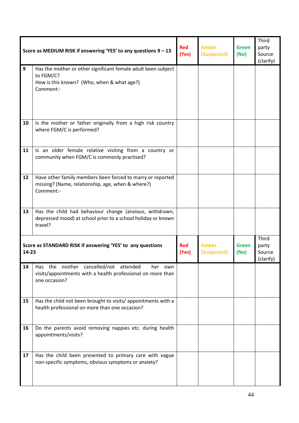| Score as MEDIUM RISK if answering 'YES' to any questions $9 - 13$   |                                                                                                                                       | <b>Red</b><br>(Yes) | <b>Amber</b><br>(Suspected) | <b>Green</b><br>(No) | Third<br>party<br>Source<br>(clarify) |
|---------------------------------------------------------------------|---------------------------------------------------------------------------------------------------------------------------------------|---------------------|-----------------------------|----------------------|---------------------------------------|
| 9                                                                   | Has the mother or other significant female adult been subject<br>to FGM/C?<br>How is this known? (Who, when & what age?)<br>Comment:- |                     |                             |                      |                                       |
| 10                                                                  | Is the mother or father originally from a high risk country<br>where FGM/C is performed?                                              |                     |                             |                      |                                       |
| 11                                                                  | Is an older female relative visiting from a country or<br>community when FGM/C is commonly practised?                                 |                     |                             |                      |                                       |
| 12                                                                  | Have other family members been forced to marry or reported<br>missing? (Name, relationship, age, when & where?)<br>Comment:-          |                     |                             |                      |                                       |
| 13                                                                  | Has the child had behaviour change (anxious, withdrawn,<br>depressed mood) at school prior to a school holiday or known<br>travel?    |                     |                             |                      |                                       |
| Score as STANDARD RISK if answering 'YES' to any questions<br>14-23 |                                                                                                                                       | <b>Red</b><br>(Yes) | <b>Amber</b><br>(Suspected) | <b>Green</b><br>(No) | Third<br>party<br>Source<br>(clarify) |
| 14                                                                  | Has the mother cancelled/not attended<br>her<br>own<br>visits/appointments with a health professional on more than<br>one occasion?   |                     |                             |                      |                                       |
| 15                                                                  | Has the child not been brought to visits/ appointments with a<br>health professional on more than one occasion?                       |                     |                             |                      |                                       |
| 16                                                                  | Do the parents avoid removing nappies etc. during health<br>appointments/visits?                                                      |                     |                             |                      |                                       |
| 17                                                                  | Has the child been presented to primary care with vague<br>non-specific symptoms, obvious symptoms or anxiety?                        |                     |                             |                      |                                       |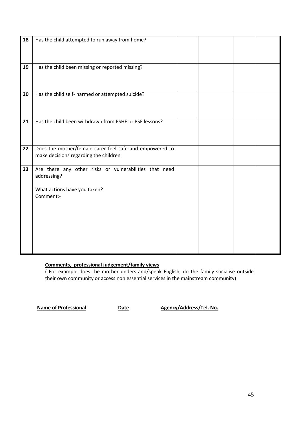| 18 | Has the child attempted to run away from home?                                                   |  |  |
|----|--------------------------------------------------------------------------------------------------|--|--|
|    |                                                                                                  |  |  |
| 19 | Has the child been missing or reported missing?                                                  |  |  |
|    |                                                                                                  |  |  |
| 20 | Has the child self- harmed or attempted suicide?                                                 |  |  |
|    |                                                                                                  |  |  |
| 21 | Has the child been withdrawn from PSHE or PSE lessons?                                           |  |  |
|    |                                                                                                  |  |  |
| 22 | Does the mother/female carer feel safe and empowered to<br>make decisions regarding the children |  |  |
|    |                                                                                                  |  |  |
| 23 | Are there any other risks or vulnerabilities that need<br>addressing?                            |  |  |
|    | What actions have you taken?                                                                     |  |  |
|    | Comment:-                                                                                        |  |  |
|    |                                                                                                  |  |  |
|    |                                                                                                  |  |  |
|    |                                                                                                  |  |  |
|    |                                                                                                  |  |  |

## **Comments, professional judgement/family views**

( For example does the mother understand/speak English, do the family socialise outside their own community or access non essential services in the mainstream community)

**Name of Professional Date Date Agency/Address/Tel. No.**